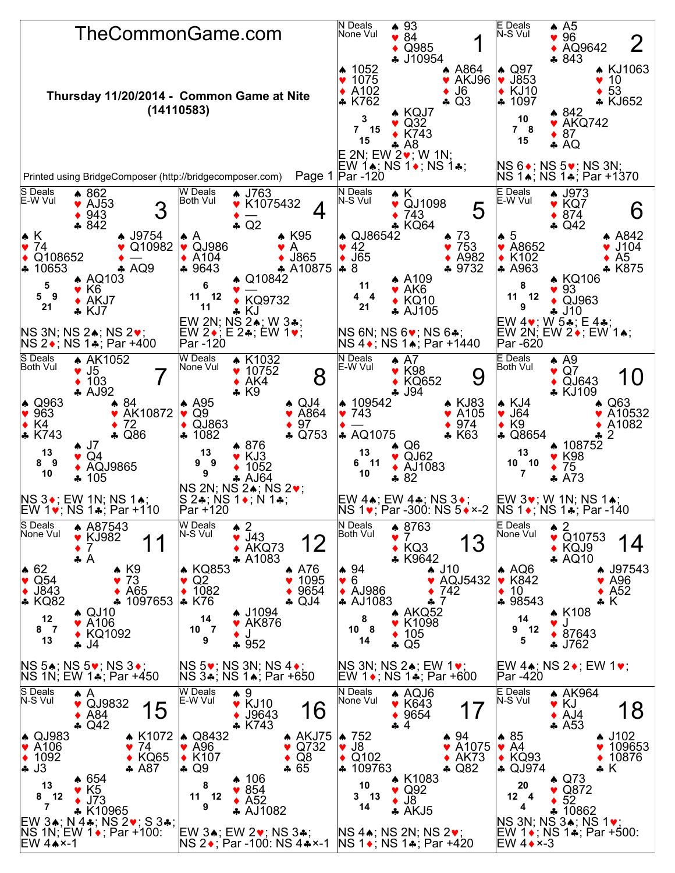